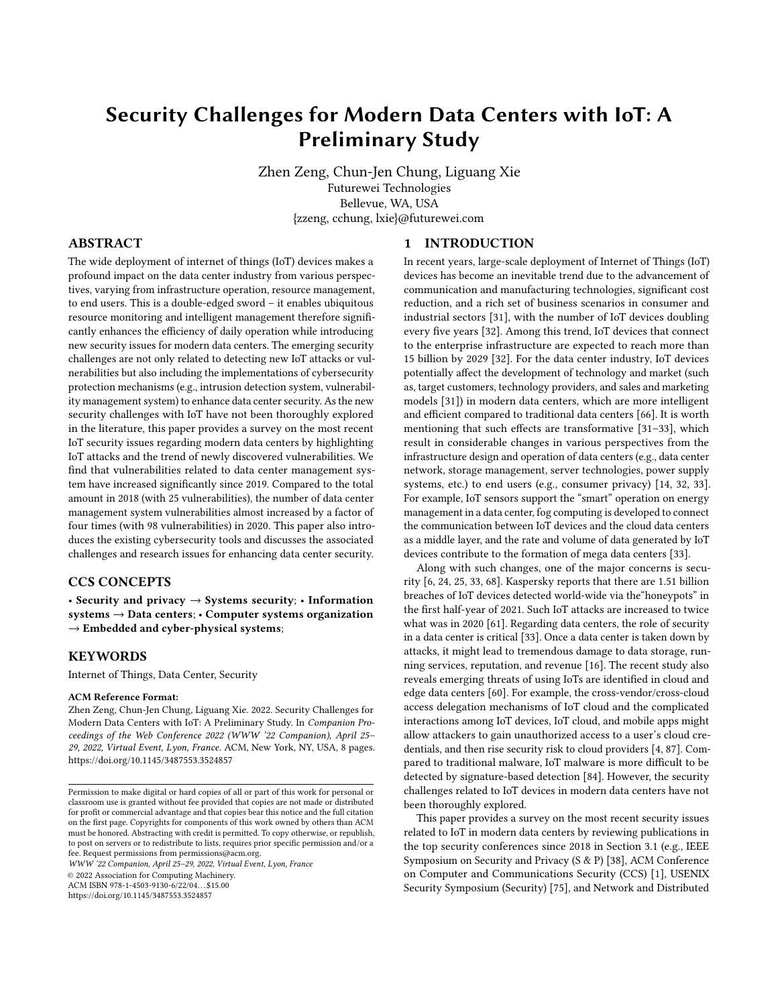# Security Challenges for Modern Data Centers with IoT: A Preliminary Study

Zhen Zeng, Chun-Jen Chung, Liguang Xie Futurewei Technologies Bellevue, WA, USA {zzeng, cchung, lxie}@futurewei.com

## ABSTRACT

The wide deployment of internet of things (IoT) devices makes a profound impact on the data center industry from various perspectives, varying from infrastructure operation, resource management, to end users. This is a double-edged sword – it enables ubiquitous resource monitoring and intelligent management therefore significantly enhances the efficiency of daily operation while introducing new security issues for modern data centers. The emerging security challenges are not only related to detecting new IoT attacks or vulnerabilities but also including the implementations of cybersecurity protection mechanisms (e.g., intrusion detection system, vulnerability management system) to enhance data center security. As the new security challenges with IoT have not been thoroughly explored in the literature, this paper provides a survey on the most recent IoT security issues regarding modern data centers by highlighting IoT attacks and the trend of newly discovered vulnerabilities. We find that vulnerabilities related to data center management system have increased significantly since 2019. Compared to the total amount in 2018 (with 25 vulnerabilities), the number of data center management system vulnerabilities almost increased by a factor of four times (with 98 vulnerabilities) in 2020. This paper also introduces the existing cybersecurity tools and discusses the associated challenges and research issues for enhancing data center security.

## CCS CONCEPTS

• Security and privacy  $\rightarrow$  Systems security; • Information systems → Data centers; • Computer systems organization  $\rightarrow$  Embedded and cyber-physical systems;

# **KEYWORDS**

Internet of Things, Data Center, Security

#### ACM Reference Format:

Zhen Zeng, Chun-Jen Chung, Liguang Xie. 2022. Security Challenges for Modern Data Centers with IoT: A Preliminary Study. In Companion Proceedings of the Web Conference 2022 (WWW '22 Companion), April 25– 29, 2022, Virtual Event, Lyon, France. ACM, New York, NY, USA, [8](#page-7-0) pages. <https://doi.org/10.1145/3487553.3524857>

WWW '22 Companion, April 25–29, 2022, Virtual Event, Lyon, France

© 2022 Association for Computing Machinery.

ACM ISBN 978-1-4503-9130-6/22/04. . . \$15.00

<https://doi.org/10.1145/3487553.3524857>

# 1 INTRODUCTION

In recent years, large-scale deployment of Internet of Things (IoT) devices has become an inevitable trend due to the advancement of communication and manufacturing technologies, significant cost reduction, and a rich set of business scenarios in consumer and industrial sectors [\[31\]](#page-6-0), with the number of IoT devices doubling every five years [\[32\]](#page-6-1). Among this trend, IoT devices that connect to the enterprise infrastructure are expected to reach more than 15 billion by 2029 [\[32\]](#page-6-1). For the data center industry, IoT devices potentially affect the development of technology and market (such as, target customers, technology providers, and sales and marketing models [\[31\]](#page-6-0)) in modern data centers, which are more intelligent and efficient compared to traditional data centers [\[66\]](#page-7-1). It is worth mentioning that such effects are transformative [\[31–](#page-6-0)[33\]](#page-6-2), which result in considerable changes in various perspectives from the infrastructure design and operation of data centers (e.g., data center network, storage management, server technologies, power supply systems, etc.) to end users (e.g., consumer privacy) [\[14,](#page-6-3) [32,](#page-6-1) [33\]](#page-6-2). For example, IoT sensors support the "smart" operation on energy management in a data center, fog computing is developed to connect the communication between IoT devices and the cloud data centers as a middle layer, and the rate and volume of data generated by IoT devices contribute to the formation of mega data centers [\[33\]](#page-6-2).

Along with such changes, one of the major concerns is security [\[6,](#page-6-4) [24,](#page-6-5) [25,](#page-6-6) [33,](#page-6-2) [68\]](#page-7-2). Kaspersky reports that there are 1.51 billion breaches of IoT devices detected world-wide via the"honeypots" in the first half-year of 2021. Such IoT attacks are increased to twice what was in 2020 [\[61\]](#page-7-3). Regarding data centers, the role of security in a data center is critical [\[33\]](#page-6-2). Once a data center is taken down by attacks, it might lead to tremendous damage to data storage, running services, reputation, and revenue [\[16\]](#page-6-7). The recent study also reveals emerging threats of using IoTs are identified in cloud and edge data centers [\[60\]](#page-7-4). For example, the cross-vendor/cross-cloud access delegation mechanisms of IoT cloud and the complicated interactions among IoT devices, IoT cloud, and mobile apps might allow attackers to gain unauthorized access to a user's cloud credentials, and then rise security risk to cloud providers [\[4,](#page-6-8) [87\]](#page-7-5). Compared to traditional malware, IoT malware is more difficult to be detected by signature-based detection [\[84\]](#page-7-6). However, the security challenges related to IoT devices in modern data centers have not been thoroughly explored.

This paper provides a survey on the most recent security issues related to IoT in modern data centers by reviewing publications in the top security conferences since 2018 in Section [3.1](#page-2-0) (e.g., IEEE Symposium on Security and Privacy (S & P) [\[38\]](#page-6-9), ACM Conference on Computer and Communications Security (CCS) [\[1\]](#page-6-10), USENIX Security Symposium (Security) [\[75\]](#page-7-7), and Network and Distributed

Permission to make digital or hard copies of all or part of this work for personal or classroom use is granted without fee provided that copies are not made or distributed for profit or commercial advantage and that copies bear this notice and the full citation on the first page. Copyrights for components of this work owned by others than ACM must be honored. Abstracting with credit is permitted. To copy otherwise, or republish, to post on servers or to redistribute to lists, requires prior specific permission and/or a fee. Request permissions from permissions@acm.org.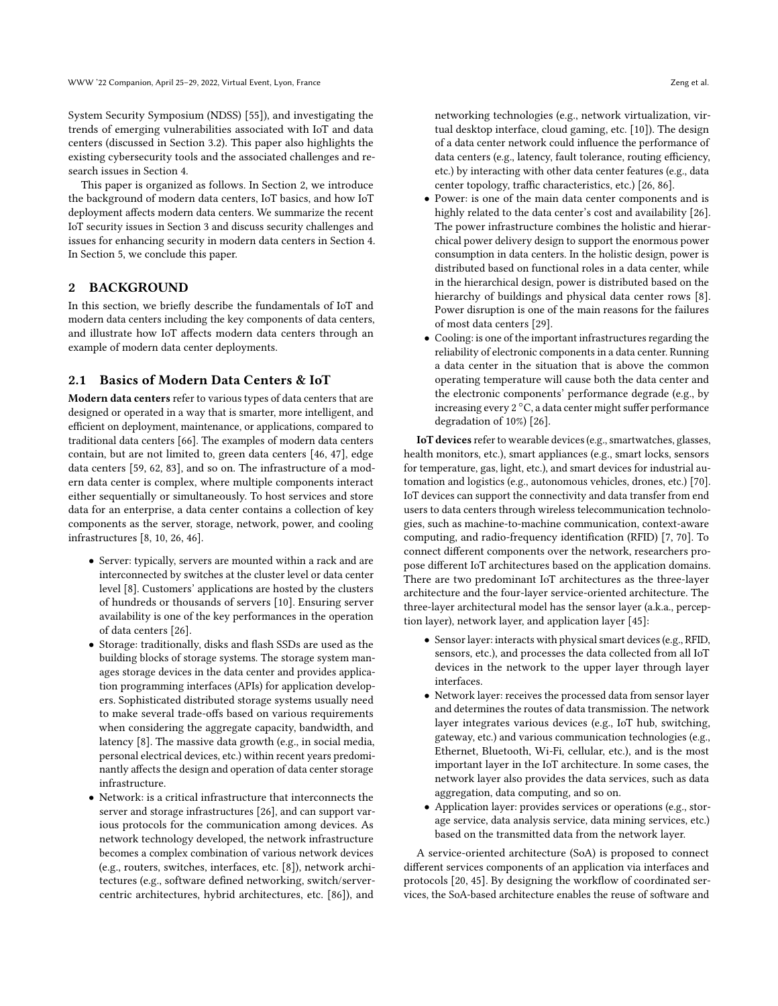System Security Symposium (NDSS) [\[55\]](#page-7-8)), and investigating the trends of emerging vulnerabilities associated with IoT and data centers (discussed in Section [3.2\)](#page-3-0). This paper also highlights the existing cybersecurity tools and the associated challenges and research issues in Section [4.](#page-4-0)

This paper is organized as follows. In Section [2,](#page-1-0) we introduce the background of modern data centers, IoT basics, and how IoT deployment affects modern data centers. We summarize the recent IoT security issues in Section [3](#page-2-1) and discuss security challenges and issues for enhancing security in modern data centers in Section [4.](#page-4-0) In Section [5,](#page-5-0) we conclude this paper.

# <span id="page-1-0"></span>2 BACKGROUND

In this section, we briefly describe the fundamentals of IoT and modern data centers including the key components of data centers, and illustrate how IoT affects modern data centers through an example of modern data center deployments.

## 2.1 Basics of Modern Data Centers & IoT

Modern data centers refer to various types of data centers that are designed or operated in a way that is smarter, more intelligent, and efficient on deployment, maintenance, or applications, compared to traditional data centers [\[66\]](#page-7-1). The examples of modern data centers contain, but are not limited to, green data centers [\[46,](#page-7-9) [47\]](#page-7-10), edge data centers [\[59,](#page-7-11) [62,](#page-7-12) [83\]](#page-7-13), and so on. The infrastructure of a modern data center is complex, where multiple components interact either sequentially or simultaneously. To host services and store data for an enterprise, a data center contains a collection of key components as the server, storage, network, power, and cooling infrastructures [\[8,](#page-6-11) [10,](#page-6-12) [26,](#page-6-13) [46\]](#page-7-9).

- Server: typically, servers are mounted within a rack and are interconnected by switches at the cluster level or data center level [\[8\]](#page-6-11). Customers' applications are hosted by the clusters of hundreds or thousands of servers [\[10\]](#page-6-12). Ensuring server availability is one of the key performances in the operation of data centers [\[26\]](#page-6-13).
- Storage: traditionally, disks and flash SSDs are used as the building blocks of storage systems. The storage system manages storage devices in the data center and provides application programming interfaces (APIs) for application developers. Sophisticated distributed storage systems usually need to make several trade-offs based on various requirements when considering the aggregate capacity, bandwidth, and latency [\[8\]](#page-6-11). The massive data growth (e.g., in social media, personal electrical devices, etc.) within recent years predominantly affects the design and operation of data center storage infrastructure.
- Network: is a critical infrastructure that interconnects the server and storage infrastructures [\[26\]](#page-6-13), and can support various protocols for the communication among devices. As network technology developed, the network infrastructure becomes a complex combination of various network devices (e.g., routers, switches, interfaces, etc. [\[8\]](#page-6-11)), network architectures (e.g., software defined networking, switch/servercentric architectures, hybrid architectures, etc. [\[86\]](#page-7-14)), and

networking technologies (e.g., network virtualization, virtual desktop interface, cloud gaming, etc. [\[10\]](#page-6-12)). The design of a data center network could influence the performance of data centers (e.g., latency, fault tolerance, routing efficiency, etc.) by interacting with other data center features (e.g., data center topology, traffic characteristics, etc.) [\[26,](#page-6-13) [86\]](#page-7-14).

- Power: is one of the main data center components and is highly related to the data center's cost and availability [\[26\]](#page-6-13). The power infrastructure combines the holistic and hierarchical power delivery design to support the enormous power consumption in data centers. In the holistic design, power is distributed based on functional roles in a data center, while in the hierarchical design, power is distributed based on the hierarchy of buildings and physical data center rows [\[8\]](#page-6-11). Power disruption is one of the main reasons for the failures of most data centers [\[29\]](#page-6-14).
- Cooling: is one of the important infrastructures regarding the reliability of electronic components in a data center. Running a data center in the situation that is above the common operating temperature will cause both the data center and the electronic components' performance degrade (e.g., by increasing every 2 ◦C, a data center might suffer performance degradation of 10%) [\[26\]](#page-6-13).

IoT devices refer to wearable devices (e.g., smartwatches, glasses, health monitors, etc.), smart appliances (e.g., smart locks, sensors for temperature, gas, light, etc.), and smart devices for industrial automation and logistics (e.g., autonomous vehicles, drones, etc.) [\[70\]](#page-7-15). IoT devices can support the connectivity and data transfer from end users to data centers through wireless telecommunication technologies, such as machine-to-machine communication, context-aware computing, and radio-frequency identification (RFID) [\[7,](#page-6-15) [70\]](#page-7-15). To connect different components over the network, researchers propose different IoT architectures based on the application domains. There are two predominant IoT architectures as the three-layer architecture and the four-layer service-oriented architecture. The three-layer architectural model has the sensor layer (a.k.a., perception layer), network layer, and application layer [\[45\]](#page-7-16):

- Sensor layer: interacts with physical smart devices (e.g., RFID, sensors, etc.), and processes the data collected from all IoT devices in the network to the upper layer through layer interfaces.
- Network layer: receives the processed data from sensor layer and determines the routes of data transmission. The network layer integrates various devices (e.g., IoT hub, switching, gateway, etc.) and various communication technologies (e.g., Ethernet, Bluetooth, Wi-Fi, cellular, etc.), and is the most important layer in the IoT architecture. In some cases, the network layer also provides the data services, such as data aggregation, data computing, and so on.
- Application layer: provides services or operations (e.g., storage service, data analysis service, data mining services, etc.) based on the transmitted data from the network layer.

A service-oriented architecture (SoA) is proposed to connect different services components of an application via interfaces and protocols [\[20,](#page-6-16) [45\]](#page-7-16). By designing the workflow of coordinated services, the SoA-based architecture enables the reuse of software and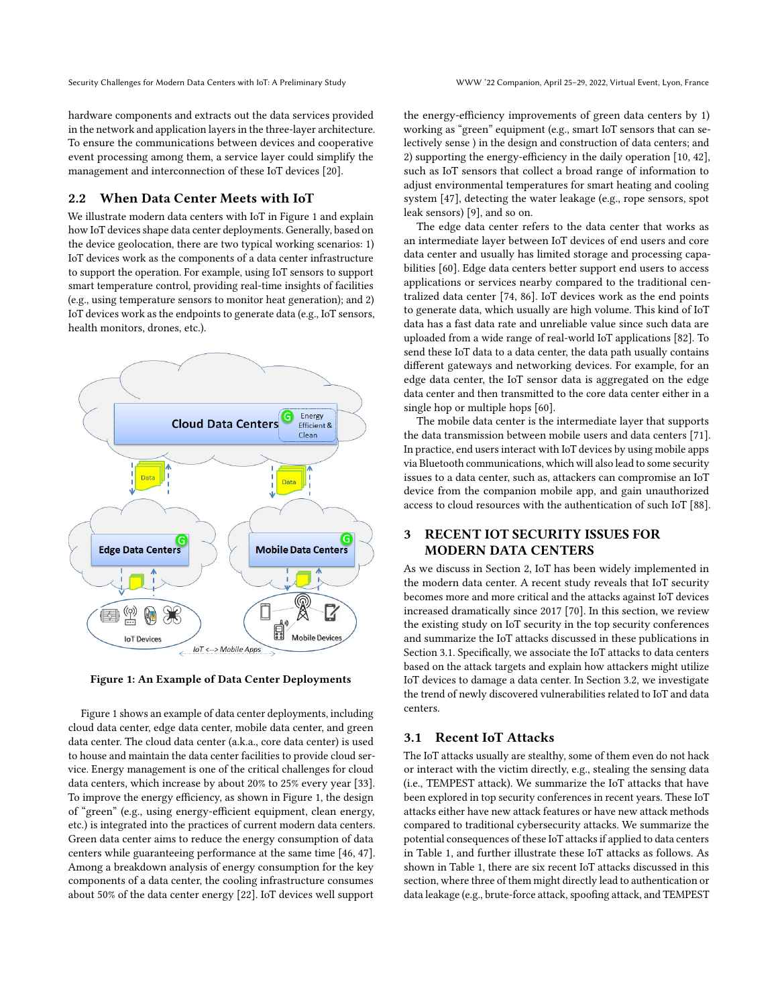hardware components and extracts out the data services provided in the network and application layers in the three-layer architecture. To ensure the communications between devices and cooperative event processing among them, a service layer could simplify the management and interconnection of these IoT devices [\[20\]](#page-6-16).

# 2.2 When Data Center Meets with IoT

We illustrate modern data centers with IoT in Figure [1](#page-2-2) and explain how IoT devices shape data center deployments. Generally, based on the device geolocation, there are two typical working scenarios: 1) IoT devices work as the components of a data center infrastructure to support the operation. For example, using IoT sensors to support smart temperature control, providing real-time insights of facilities (e.g., using temperature sensors to monitor heat generation); and 2) IoT devices work as the endpoints to generate data (e.g., IoT sensors, health monitors, drones, etc.).

<span id="page-2-2"></span>

Figure 1: An Example of Data Center Deployments

Figure [1](#page-2-2) shows an example of data center deployments, including cloud data center, edge data center, mobile data center, and green data center. The cloud data center (a.k.a., core data center) is used to house and maintain the data center facilities to provide cloud service. Energy management is one of the critical challenges for cloud data centers, which increase by about 20% to 25% every year [\[33\]](#page-6-2). To improve the energy efficiency, as shown in Figure [1,](#page-2-2) the design of "green" (e.g., using energy-efficient equipment, clean energy, etc.) is integrated into the practices of current modern data centers. Green data center aims to reduce the energy consumption of data centers while guaranteeing performance at the same time [\[46,](#page-7-9) [47\]](#page-7-10). Among a breakdown analysis of energy consumption for the key components of a data center, the cooling infrastructure consumes about 50% of the data center energy [\[22\]](#page-6-17). IoT devices well support

the energy-efficiency improvements of green data centers by 1) working as "green" equipment (e.g., smart IoT sensors that can selectively sense ) in the design and construction of data centers; and 2) supporting the energy-efficiency in the daily operation [\[10,](#page-6-12) [42\]](#page-7-17), such as IoT sensors that collect a broad range of information to adjust environmental temperatures for smart heating and cooling system [\[47\]](#page-7-10), detecting the water leakage (e.g., rope sensors, spot leak sensors) [\[9\]](#page-6-18), and so on.

The edge data center refers to the data center that works as an intermediate layer between IoT devices of end users and core data center and usually has limited storage and processing capabilities [\[60\]](#page-7-4). Edge data centers better support end users to access applications or services nearby compared to the traditional centralized data center [\[74,](#page-7-18) [86\]](#page-7-14). IoT devices work as the end points to generate data, which usually are high volume. This kind of IoT data has a fast data rate and unreliable value since such data are uploaded from a wide range of real-world IoT applications [\[82\]](#page-7-19). To send these IoT data to a data center, the data path usually contains different gateways and networking devices. For example, for an edge data center, the IoT sensor data is aggregated on the edge data center and then transmitted to the core data center either in a single hop or multiple hops [\[60\]](#page-7-4).

The mobile data center is the intermediate layer that supports the data transmission between mobile users and data centers [\[71\]](#page-7-20). In practice, end users interact with IoT devices by using mobile apps via Bluetooth communications, which will also lead to some security issues to a data center, such as, attackers can compromise an IoT device from the companion mobile app, and gain unauthorized access to cloud resources with the authentication of such IoT [\[88\]](#page-7-21).

# <span id="page-2-1"></span>3 RECENT IOT SECURITY ISSUES FOR MODERN DATA CENTERS

As we discuss in Section [2,](#page-1-0) IoT has been widely implemented in the modern data center. A recent study reveals that IoT security becomes more and more critical and the attacks against IoT devices increased dramatically since 2017 [\[70\]](#page-7-15). In this section, we review the existing study on IoT security in the top security conferences and summarize the IoT attacks discussed in these publications in Section [3.1.](#page-2-0) Specifically, we associate the IoT attacks to data centers based on the attack targets and explain how attackers might utilize IoT devices to damage a data center. In Section [3.2,](#page-3-0) we investigate the trend of newly discovered vulnerabilities related to IoT and data centers.

## <span id="page-2-0"></span>3.1 Recent IoT Attacks

The IoT attacks usually are stealthy, some of them even do not hack or interact with the victim directly, e.g., stealing the sensing data (i.e., TEMPEST attack). We summarize the IoT attacks that have been explored in top security conferences in recent years. These IoT attacks either have new attack features or have new attack methods compared to traditional cybersecurity attacks. We summarize the potential consequences of these IoT attacks if applied to data centers in Table [1,](#page-3-1) and further illustrate these IoT attacks as follows. As shown in Table [1,](#page-3-1) there are six recent IoT attacks discussed in this section, where three of them might directly lead to authentication or data leakage (e.g., brute-force attack, spoofing attack, and TEMPEST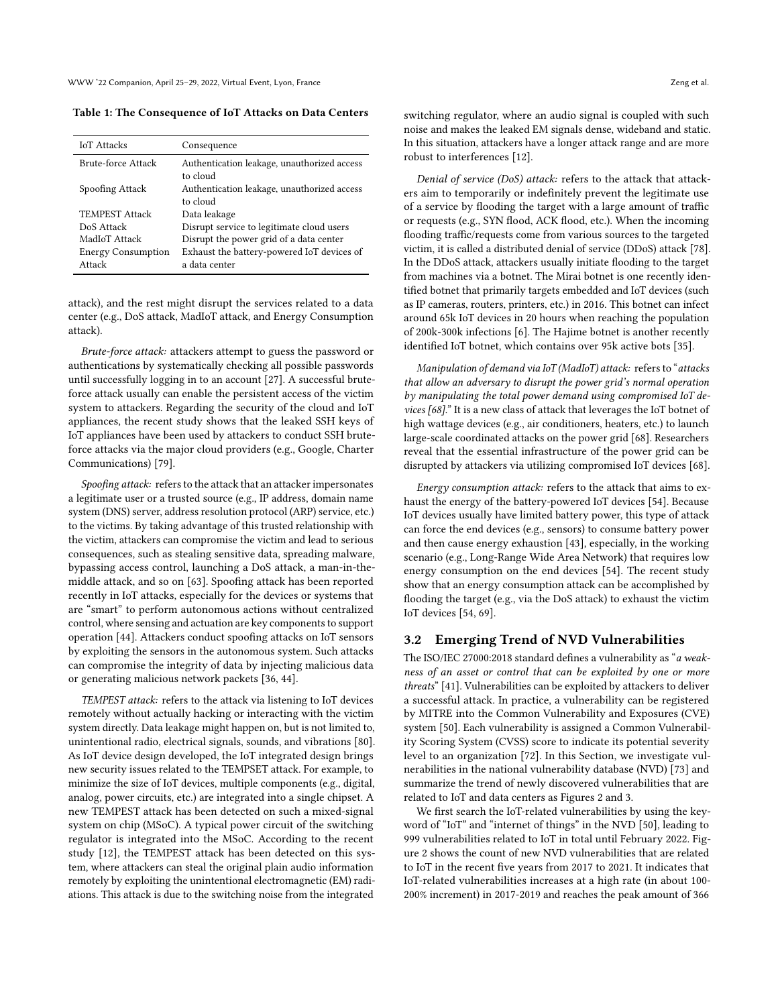<span id="page-3-1"></span>Table 1: The Consequence of IoT Attacks on Data Centers

| <b>IoT</b> Attacks        | Consequence                                 |
|---------------------------|---------------------------------------------|
| Brute-force Attack        | Authentication leakage, unauthorized access |
|                           | to cloud                                    |
| Spoofing Attack           | Authentication leakage, unauthorized access |
|                           | to cloud                                    |
| <b>TEMPEST Attack</b>     | Data leakage                                |
| DoS Attack                | Disrupt service to legitimate cloud users   |
| MadIoT Attack             | Disrupt the power grid of a data center     |
| <b>Energy Consumption</b> | Exhaust the battery-powered IoT devices of  |
| Attack                    | a data center                               |

attack), and the rest might disrupt the services related to a data center (e.g., DoS attack, MadIoT attack, and Energy Consumption attack).

Brute-force attack: attackers attempt to guess the password or authentications by systematically checking all possible passwords until successfully logging in to an account [\[27\]](#page-6-19). A successful bruteforce attack usually can enable the persistent access of the victim system to attackers. Regarding the security of the cloud and IoT appliances, the recent study shows that the leaked SSH keys of IoT appliances have been used by attackers to conduct SSH bruteforce attacks via the major cloud providers (e.g., Google, Charter Communications) [\[79\]](#page-7-22).

Spoofing attack: refers to the attack that an attacker impersonates a legitimate user or a trusted source (e.g., IP address, domain name system (DNS) server, address resolution protocol (ARP) service, etc.) to the victims. By taking advantage of this trusted relationship with the victim, attackers can compromise the victim and lead to serious consequences, such as stealing sensitive data, spreading malware, bypassing access control, launching a DoS attack, a man-in-themiddle attack, and so on [\[63\]](#page-7-23). Spoofing attack has been reported recently in IoT attacks, especially for the devices or systems that are "smart" to perform autonomous actions without centralized control, where sensing and actuation are key components to support operation [\[44\]](#page-7-24). Attackers conduct spoofing attacks on IoT sensors by exploiting the sensors in the autonomous system. Such attacks can compromise the integrity of data by injecting malicious data or generating malicious network packets [\[36,](#page-6-20) [44\]](#page-7-24).

TEMPEST attack: refers to the attack via listening to IoT devices remotely without actually hacking or interacting with the victim system directly. Data leakage might happen on, but is not limited to, unintentional radio, electrical signals, sounds, and vibrations [\[80\]](#page-7-25). As IoT device design developed, the IoT integrated design brings new security issues related to the TEMPSET attack. For example, to minimize the size of IoT devices, multiple components (e.g., digital, analog, power circuits, etc.) are integrated into a single chipset. A new TEMPEST attack has been detected on such a mixed-signal system on chip (MSoC). A typical power circuit of the switching regulator is integrated into the MSoC. According to the recent study [\[12\]](#page-6-21), the TEMPEST attack has been detected on this system, where attackers can steal the original plain audio information remotely by exploiting the unintentional electromagnetic (EM) radiations. This attack is due to the switching noise from the integrated

switching regulator, where an audio signal is coupled with such noise and makes the leaked EM signals dense, wideband and static. In this situation, attackers have a longer attack range and are more robust to interferences [\[12\]](#page-6-21).

Denial of service (DoS) attack: refers to the attack that attackers aim to temporarily or indefinitely prevent the legitimate use of a service by flooding the target with a large amount of traffic or requests (e.g., SYN flood, ACK flood, etc.). When the incoming flooding traffic/requests come from various sources to the targeted victim, it is called a distributed denial of service (DDoS) attack [\[78\]](#page-7-26). In the DDoS attack, attackers usually initiate flooding to the target from machines via a botnet. The Mirai botnet is one recently identified botnet that primarily targets embedded and IoT devices (such as IP cameras, routers, printers, etc.) in 2016. This botnet can infect around 65k IoT devices in 20 hours when reaching the population of 200k-300k infections [\[6\]](#page-6-4). The Hajime botnet is another recently identified IoT botnet, which contains over 95k active bots [\[35\]](#page-6-22).

Manipulation of demand via IoT (MadIoT) attack: refers to "attacks that allow an adversary to disrupt the power grid's normal operation by manipulating the total power demand using compromised IoT devices [\[68\]](#page-7-2)." It is a new class of attack that leverages the IoT botnet of high wattage devices (e.g., air conditioners, heaters, etc.) to launch large-scale coordinated attacks on the power grid [\[68\]](#page-7-2). Researchers reveal that the essential infrastructure of the power grid can be disrupted by attackers via utilizing compromised IoT devices [\[68\]](#page-7-2).

Energy consumption attack: refers to the attack that aims to exhaust the energy of the battery-powered IoT devices [\[54\]](#page-7-27). Because IoT devices usually have limited battery power, this type of attack can force the end devices (e.g., sensors) to consume battery power and then cause energy exhaustion [\[43\]](#page-7-28), especially, in the working scenario (e.g., Long-Range Wide Area Network) that requires low energy consumption on the end devices [\[54\]](#page-7-27). The recent study show that an energy consumption attack can be accomplished by flooding the target (e.g., via the DoS attack) to exhaust the victim IoT devices [\[54,](#page-7-27) [69\]](#page-7-29).

## <span id="page-3-0"></span>3.2 Emerging Trend of NVD Vulnerabilities

The ISO/IEC 27000:2018 standard defines a vulnerability as "a weakness of an asset or control that can be exploited by one or more threats" [\[41\]](#page-7-30). Vulnerabilities can be exploited by attackers to deliver a successful attack. In practice, a vulnerability can be registered by MITRE into the Common Vulnerability and Exposures (CVE) system [\[50\]](#page-7-31). Each vulnerability is assigned a Common Vulnerability Scoring System (CVSS) score to indicate its potential severity level to an organization [\[72\]](#page-7-32). In this Section, we investigate vulnerabilities in the national vulnerability database (NVD) [\[73\]](#page-7-33) and summarize the trend of newly discovered vulnerabilities that are related to IoT and data centers as Figures [2](#page-4-1) and [3.](#page-4-2)

We first search the IoT-related vulnerabilities by using the keyword of "IoT" and "internet of things" in the NVD [\[50\]](#page-7-31), leading to 999 vulnerabilities related to IoT in total until February 2022. Figure [2](#page-4-1) shows the count of new NVD vulnerabilities that are related to IoT in the recent five years from 2017 to 2021. It indicates that IoT-related vulnerabilities increases at a high rate (in about 100- 200% increment) in 2017-2019 and reaches the peak amount of 366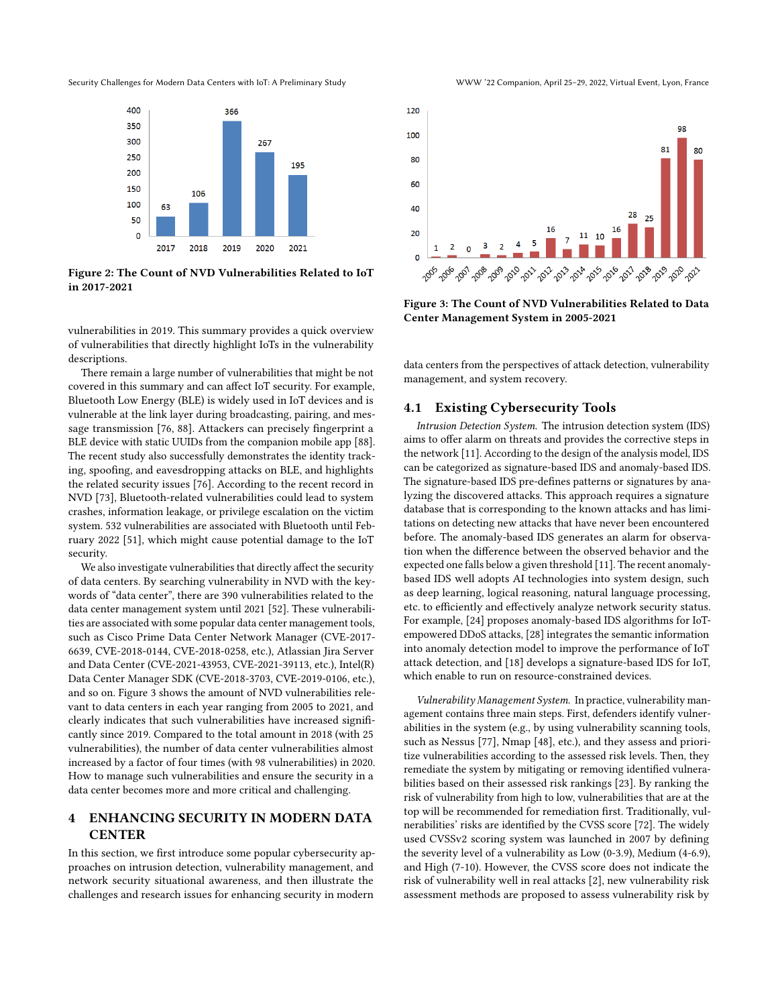<span id="page-4-1"></span>



Figure 2: The Count of NVD Vulnerabilities Related to IoT in 2017-2021

vulnerabilities in 2019. This summary provides a quick overview of vulnerabilities that directly highlight IoTs in the vulnerability descriptions.

There remain a large number of vulnerabilities that might be not covered in this summary and can affect IoT security. For example, Bluetooth Low Energy (BLE) is widely used in IoT devices and is vulnerable at the link layer during broadcasting, pairing, and message transmission [\[76,](#page-7-34) [88\]](#page-7-21). Attackers can precisely fingerprint a BLE device with static UUIDs from the companion mobile app [\[88\]](#page-7-21). The recent study also successfully demonstrates the identity tracking, spoofing, and eavesdropping attacks on BLE, and highlights the related security issues [\[76\]](#page-7-34). According to the recent record in NVD [\[73\]](#page-7-33), Bluetooth-related vulnerabilities could lead to system crashes, information leakage, or privilege escalation on the victim system. 532 vulnerabilities are associated with Bluetooth until February 2022 [\[51\]](#page-7-35), which might cause potential damage to the IoT security.

We also investigate vulnerabilities that directly affect the security of data centers. By searching vulnerability in NVD with the keywords of "data center", there are 390 vulnerabilities related to the data center management system until 2021 [\[52\]](#page-7-36). These vulnerabilities are associated with some popular data center management tools, such as Cisco Prime Data Center Network Manager (CVE-2017- 6639, CVE-2018-0144, CVE-2018-0258, etc.), Atlassian Jira Server and Data Center (CVE-2021-43953, CVE-2021-39113, etc.), Intel(R) Data Center Manager SDK (CVE-2018-3703, CVE-2019-0106, etc.), and so on. Figure [3](#page-4-2) shows the amount of NVD vulnerabilities relevant to data centers in each year ranging from 2005 to 2021, and clearly indicates that such vulnerabilities have increased significantly since 2019. Compared to the total amount in 2018 (with 25 vulnerabilities), the number of data center vulnerabilities almost increased by a factor of four times (with 98 vulnerabilities) in 2020. How to manage such vulnerabilities and ensure the security in a data center becomes more and more critical and challenging.

## <span id="page-4-0"></span>4 ENHANCING SECURITY IN MODERN DATA **CENTER**

In this section, we first introduce some popular cybersecurity approaches on intrusion detection, vulnerability management, and network security situational awareness, and then illustrate the challenges and research issues for enhancing security in modern



<span id="page-4-2"></span>

Figure 3: The Count of NVD Vulnerabilities Related to Data Center Management System in 2005-2021

data centers from the perspectives of attack detection, vulnerability management, and system recovery.

## 4.1 Existing Cybersecurity Tools

Intrusion Detection System. The intrusion detection system (IDS) aims to offer alarm on threats and provides the corrective steps in the network [\[11\]](#page-6-23). According to the design of the analysis model, IDS can be categorized as signature-based IDS and anomaly-based IDS. The signature-based IDS pre-defines patterns or signatures by analyzing the discovered attacks. This approach requires a signature database that is corresponding to the known attacks and has limitations on detecting new attacks that have never been encountered before. The anomaly-based IDS generates an alarm for observation when the difference between the observed behavior and the expected one falls below a given threshold [\[11\]](#page-6-23). The recent anomalybased IDS well adopts AI technologies into system design, such as deep learning, logical reasoning, natural language processing, etc. to efficiently and effectively analyze network security status. For example, [\[24\]](#page-6-5) proposes anomaly-based IDS algorithms for IoTempowered DDoS attacks, [\[28\]](#page-6-24) integrates the semantic information into anomaly detection model to improve the performance of IoT attack detection, and [\[18\]](#page-6-25) develops a signature-based IDS for IoT, which enable to run on resource-constrained devices.

Vulnerability Management System. In practice, vulnerability management contains three main steps. First, defenders identify vulnerabilities in the system (e.g., by using vulnerability scanning tools, such as Nessus [\[77\]](#page-7-37), Nmap [\[48\]](#page-7-38), etc.), and they assess and prioritize vulnerabilities according to the assessed risk levels. Then, they remediate the system by mitigating or removing identified vulnerabilities based on their assessed risk rankings [\[23\]](#page-6-26). By ranking the risk of vulnerability from high to low, vulnerabilities that are at the top will be recommended for remediation first. Traditionally, vulnerabilities' risks are identified by the CVSS score [\[72\]](#page-7-32). The widely used CVSSv2 scoring system was launched in 2007 by defining the severity level of a vulnerability as Low (0-3.9), Medium (4-6.9), and High (7-10). However, the CVSS score does not indicate the risk of vulnerability well in real attacks [\[2\]](#page-6-27), new vulnerability risk assessment methods are proposed to assess vulnerability risk by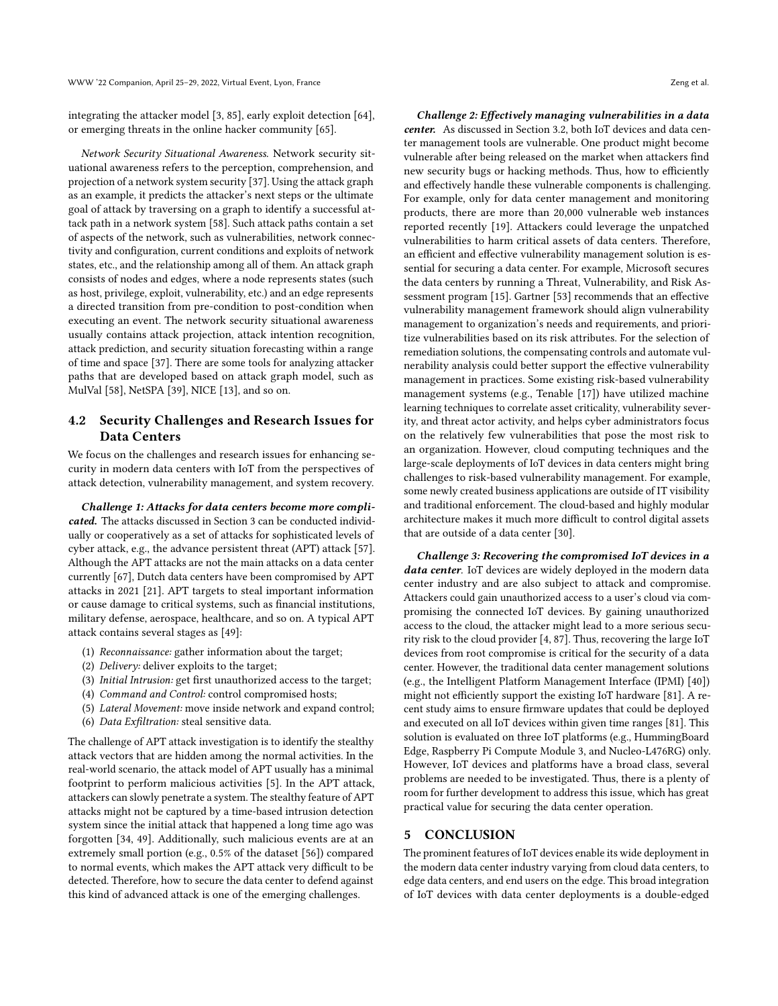integrating the attacker model [\[3,](#page-6-28) [85\]](#page-7-39), early exploit detection [\[64\]](#page-7-40), or emerging threats in the online hacker community [\[65\]](#page-7-41).

Network Security Situational Awareness. Network security situational awareness refers to the perception, comprehension, and projection of a network system security [\[37\]](#page-6-29). Using the attack graph as an example, it predicts the attacker's next steps or the ultimate goal of attack by traversing on a graph to identify a successful attack path in a network system [\[58\]](#page-7-42). Such attack paths contain a set of aspects of the network, such as vulnerabilities, network connectivity and configuration, current conditions and exploits of network states, etc., and the relationship among all of them. An attack graph consists of nodes and edges, where a node represents states (such as host, privilege, exploit, vulnerability, etc.) and an edge represents a directed transition from pre-condition to post-condition when executing an event. The network security situational awareness usually contains attack projection, attack intention recognition, attack prediction, and security situation forecasting within a range of time and space [\[37\]](#page-6-29). There are some tools for analyzing attacker paths that are developed based on attack graph model, such as MulVal [\[58\]](#page-7-42), NetSPA [\[39\]](#page-6-30), NICE [\[13\]](#page-6-31), and so on.

# 4.2 Security Challenges and Research Issues for Data Centers

We focus on the challenges and research issues for enhancing security in modern data centers with IoT from the perspectives of attack detection, vulnerability management, and system recovery.

Challenge 1: Attacks for data centers become more complicated. The attacks discussed in Section [3](#page-2-1) can be conducted individually or cooperatively as a set of attacks for sophisticated levels of cyber attack, e.g., the advance persistent threat (APT) attack [\[57\]](#page-7-43). Although the APT attacks are not the main attacks on a data center currently [\[67\]](#page-7-44), Dutch data centers have been compromised by APT attacks in 2021 [\[21\]](#page-6-32). APT targets to steal important information or cause damage to critical systems, such as financial institutions, military defense, aerospace, healthcare, and so on. A typical APT attack contains several stages as [\[49\]](#page-7-45):

- (1) Reconnaissance: gather information about the target;
- (2) Delivery: deliver exploits to the target;
- (3) Initial Intrusion: get first unauthorized access to the target;
- (4) Command and Control: control compromised hosts;
- (5) Lateral Movement: move inside network and expand control;
- (6) Data Exfiltration: steal sensitive data.

The challenge of APT attack investigation is to identify the stealthy attack vectors that are hidden among the normal activities. In the real-world scenario, the attack model of APT usually has a minimal footprint to perform malicious activities [\[5\]](#page-6-33). In the APT attack, attackers can slowly penetrate a system. The stealthy feature of APT attacks might not be captured by a time-based intrusion detection system since the initial attack that happened a long time ago was forgotten [\[34,](#page-6-34) [49\]](#page-7-45). Additionally, such malicious events are at an extremely small portion (e.g., 0.5% of the dataset [\[56\]](#page-7-46)) compared to normal events, which makes the APT attack very difficult to be detected. Therefore, how to secure the data center to defend against this kind of advanced attack is one of the emerging challenges.

Challenge 2: Effectively managing vulnerabilities in a data center. As discussed in Section [3.2,](#page-3-0) both IoT devices and data center management tools are vulnerable. One product might become vulnerable after being released on the market when attackers find new security bugs or hacking methods. Thus, how to efficiently and effectively handle these vulnerable components is challenging. For example, only for data center management and monitoring products, there are more than 20,000 vulnerable web instances reported recently [\[19\]](#page-6-35). Attackers could leverage the unpatched vulnerabilities to harm critical assets of data centers. Therefore, an efficient and effective vulnerability management solution is essential for securing a data center. For example, Microsoft secures the data centers by running a Threat, Vulnerability, and Risk Assessment program [\[15\]](#page-6-36). Gartner [\[53\]](#page-7-47) recommends that an effective vulnerability management framework should align vulnerability management to organization's needs and requirements, and prioritize vulnerabilities based on its risk attributes. For the selection of remediation solutions, the compensating controls and automate vulnerability analysis could better support the effective vulnerability management in practices. Some existing risk-based vulnerability management systems (e.g., Tenable [\[17\]](#page-6-37)) have utilized machine learning techniques to correlate asset criticality, vulnerability severity, and threat actor activity, and helps cyber administrators focus on the relatively few vulnerabilities that pose the most risk to an organization. However, cloud computing techniques and the large-scale deployments of IoT devices in data centers might bring challenges to risk-based vulnerability management. For example, some newly created business applications are outside of IT visibility and traditional enforcement. The cloud-based and highly modular architecture makes it much more difficult to control digital assets that are outside of a data center [\[30\]](#page-6-38).

Challenge 3: Recovering the compromised IoT devices in a data center. IoT devices are widely deployed in the modern data center industry and are also subject to attack and compromise. Attackers could gain unauthorized access to a user's cloud via compromising the connected IoT devices. By gaining unauthorized access to the cloud, the attacker might lead to a more serious security risk to the cloud provider [\[4,](#page-6-8) [87\]](#page-7-5). Thus, recovering the large IoT devices from root compromise is critical for the security of a data center. However, the traditional data center management solutions (e.g., the Intelligent Platform Management Interface (IPMI) [\[40\]](#page-6-39)) might not efficiently support the existing IoT hardware [\[81\]](#page-7-48). A recent study aims to ensure firmware updates that could be deployed and executed on all IoT devices within given time ranges [\[81\]](#page-7-48). This solution is evaluated on three IoT platforms (e.g., HummingBoard Edge, Raspberry Pi Compute Module 3, and Nucleo-L476RG) only. However, IoT devices and platforms have a broad class, several problems are needed to be investigated. Thus, there is a plenty of room for further development to address this issue, which has great practical value for securing the data center operation.

## <span id="page-5-0"></span>5 CONCLUSION

The prominent features of IoT devices enable its wide deployment in the modern data center industry varying from cloud data centers, to edge data centers, and end users on the edge. This broad integration of IoT devices with data center deployments is a double-edged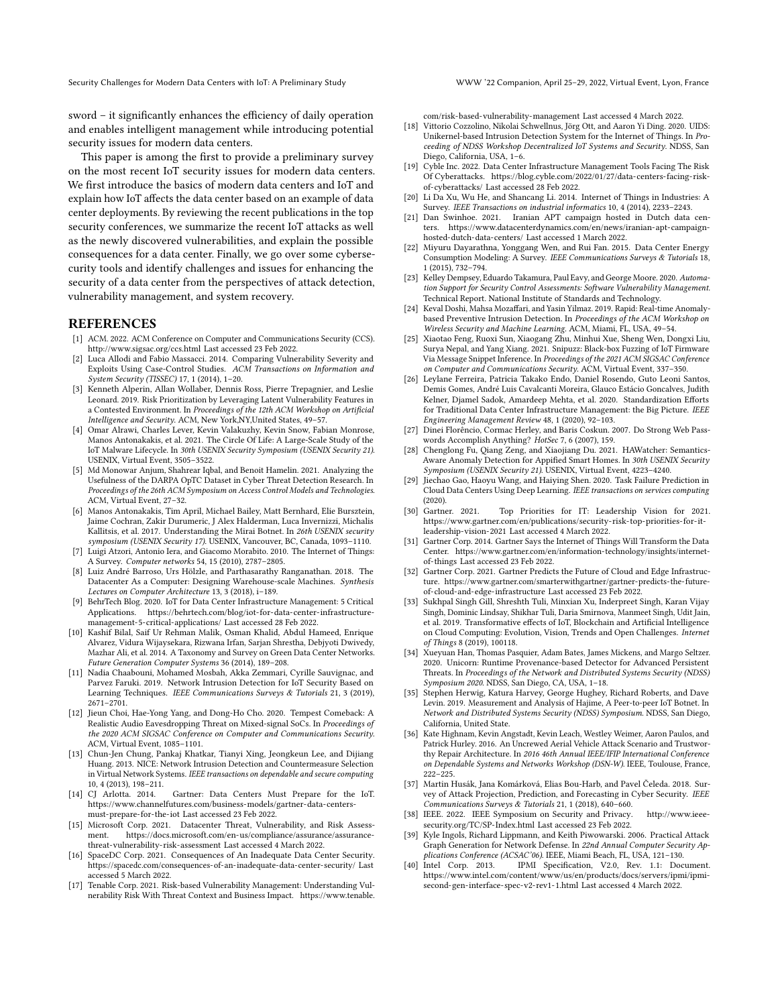Security Challenges for Modern Data Centers with IoT: A Preliminary Study WWW '22 Companion, April 25–29, 2022, Virtual Event, Lyon, France

sword – it significantly enhances the efficiency of daily operation and enables intelligent management while introducing potential security issues for modern data centers.

This paper is among the first to provide a preliminary survey on the most recent IoT security issues for modern data centers. We first introduce the basics of modern data centers and IoT and explain how IoT affects the data center based on an example of data center deployments. By reviewing the recent publications in the top security conferences, we summarize the recent IoT attacks as well as the newly discovered vulnerabilities, and explain the possible consequences for a data center. Finally, we go over some cybersecurity tools and identify challenges and issues for enhancing the security of a data center from the perspectives of attack detection, vulnerability management, and system recovery.

## **REFERENCES**

- <span id="page-6-10"></span>[1] ACM. 2022. ACM Conference on Computer and Communications Security (CCS). <http://www.sigsac.org/ccs.html> Last accessed 23 Feb 2022.
- <span id="page-6-27"></span>[2] Luca Allodi and Fabio Massacci. 2014. Comparing Vulnerability Severity and Exploits Using Case-Control Studies. ACM Transactions on Information and System Security (TISSEC) 17, 1 (2014), 1–20.
- <span id="page-6-28"></span>[3] Kenneth Alperin, Allan Wollaber, Dennis Ross, Pierre Trepagnier, and Leslie Leonard. 2019. Risk Prioritization by Leveraging Latent Vulnerability Features in a Contested Environment. In Proceedings of the 12th ACM Workshop on Artificial Intelligence and Security. ACM, New York,NY,United States, 49–57.
- <span id="page-6-8"></span>[4] Omar Alrawi, Charles Lever, Kevin Valakuzhy, Kevin Snow, Fabian Monrose, Manos Antonakakis, et al. 2021. The Circle Of Life: A Large-Scale Study of the IoT Malware Lifecycle. In 30th USENIX Security Symposium (USENIX Security 21). USENIX, Virtual Event, 3505–3522.
- <span id="page-6-33"></span>[5] Md Monowar Anjum, Shahrear Iqbal, and Benoit Hamelin. 2021. Analyzing the Usefulness of the DARPA OpTC Dataset in Cyber Threat Detection Research. In Proceedings of the 26th ACM Symposium on Access Control Models and Technologies. ACM, Virtual Event, 27–32.
- <span id="page-6-4"></span>[6] Manos Antonakakis, Tim April, Michael Bailey, Matt Bernhard, Elie Bursztein, Jaime Cochran, Zakir Durumeric, J Alex Halderman, Luca Invernizzi, Michalis Kallitsis, et al. 2017. Understanding the Mirai Botnet. In 26th USENIX security symposium (USENIX Security 17). USENIX, Vancouver, BC, Canada, 1093–1110.
- <span id="page-6-15"></span>[7] Luigi Atzori, Antonio Iera, and Giacomo Morabito. 2010. The Internet of Things: A Survey. Computer networks 54, 15 (2010), 2787–2805.
- <span id="page-6-11"></span>[8] Luiz André Barroso, Urs Hölzle, and Parthasarathy Ranganathan. 2018. The Datacenter As a Computer: Designing Warehouse-scale Machines. Synthesis Lectures on Computer Architecture 13, 3 (2018), i–189.
- <span id="page-6-18"></span>[9] BehrTech Blog. 2020. IoT for Data Center Infrastructure Management: 5 Critical Applications. [https://behrtech.com/blog/iot-for-data-center-infrastructure](https://behrtech.com/blog/iot-for-data-center-infrastructure-management-5-critical-applications/)[management-5-critical-applications/](https://behrtech.com/blog/iot-for-data-center-infrastructure-management-5-critical-applications/) Last accessed 28 Feb 2022.
- <span id="page-6-12"></span>[10] Kashif Bilal, Saif Ur Rehman Malik, Osman Khalid, Abdul Hameed, Enrique Alvarez, Vidura Wijaysekara, Rizwana Irfan, Sarjan Shrestha, Debjyoti Dwivedy, Mazhar Ali, et al. 2014. A Taxonomy and Survey on Green Data Center Networks. Future Generation Computer Systems 36 (2014), 189–208.
- <span id="page-6-23"></span>[11] Nadia Chaabouni, Mohamed Mosbah, Akka Zemmari, Cyrille Sauvignac, and Parvez Faruki. 2019. Network Intrusion Detection for IoT Security Based on Learning Techniques. IEEE Communications Surveys & Tutorials 21, 3 (2019), 2671–2701.
- <span id="page-6-21"></span>[12] Jieun Choi, Hae-Yong Yang, and Dong-Ho Cho. 2020. Tempest Comeback: A Realistic Audio Eavesdropping Threat on Mixed-signal SoCs. In Proceedings of the 2020 ACM SIGSAC Conference on Computer and Communications Security. ACM, Virtual Event, 1085–1101.
- <span id="page-6-31"></span>[13] Chun-Jen Chung, Pankaj Khatkar, Tianyi Xing, Jeongkeun Lee, and Dijiang Huang. 2013. NICE: Network Intrusion Detection and Countermeasure Selection in Virtual Network Systems. IEEE transactions on dependable and secure computing 10, 4 (2013), 198-211.<br>[14] CI Arlotta. 2014.
- <span id="page-6-3"></span>Gartner: Data Centers Must Prepare for the IoT. [https://www.channelfutures.com/business-models/gartner-data-centers](https://www.channelfutures.com/business-models/gartner-data-centers-must-prepare-for-the-iot)[must-prepare-for-the-iot](https://www.channelfutures.com/business-models/gartner-data-centers-must-prepare-for-the-iot) Last accessed 23 Feb 2022.
- <span id="page-6-36"></span>[15] Microsoft Corp. 2021. Datacenter Threat, Vulnerability, and Risk Assessment. [https://docs.microsoft.com/en-us/compliance/assurance/assurance](https://docs.microsoft.com/en-us/compliance/assurance/assurance-threat-vulnerability-risk-assessment)[threat-vulnerability-risk-assessment](https://docs.microsoft.com/en-us/compliance/assurance/assurance-threat-vulnerability-risk-assessment) Last accessed 4 March 2022.
- <span id="page-6-7"></span>[16] SpaceDC Corp. 2021. Consequences of An Inadequate Data Center Security. <https://spacedc.com/consequences-of-an-inadequate-data-center-security/> Last accessed 5 March 2022.
- <span id="page-6-37"></span>[17] Tenable Corp. 2021. Risk-based Vulnerability Management: Understanding Vulnerability Risk With Threat Context and Business Impact. [https://www.tenable.](https://www.tenable.com/risk-based-vulnerability-management)

[com/risk-based-vulnerability-management](https://www.tenable.com/risk-based-vulnerability-management) Last accessed 4 March 2022.

- <span id="page-6-25"></span>[18] Vittorio Cozzolino, Nikolai Schwellnus, Jörg Ott, and Aaron Yi Ding. 2020. UIDS: Unikernel-based Intrusion Detection System for the Internet of Things. In Proceeding of NDSS Workshop Decentralized IoT Systems and Security. NDSS, San Diego, California, USA, 1–6.
- <span id="page-6-35"></span>[19] Cyble Inc. 2022. Data Center Infrastructure Management Tools Facing The Risk Of Cyberattacks. [https://blog.cyble.com/2022/01/27/data-centers-facing-risk](https://blog.cyble.com/2022/01/27/data-centers-facing-risk-of-cyberattacks/)[of-cyberattacks/](https://blog.cyble.com/2022/01/27/data-centers-facing-risk-of-cyberattacks/) Last accessed 28 Feb 2022.
- <span id="page-6-16"></span>[20] Li Da Xu, Wu He, and Shancang Li. 2014. Internet of Things in Industries: A Survey. IEEE Transactions on industrial informatics 10, 4 (2014), 2233–2243.
- <span id="page-6-32"></span>[21] Dan Swinhoe. 2021. Iranian APT campaign hosted in Dutch data centers. [https://www.datacenterdynamics.com/en/news/iranian-apt-campaign](https://www.datacenterdynamics.com/en/news/iranian-apt-campaign-hosted-dutch-data-centers/)[hosted-dutch-data-centers/](https://www.datacenterdynamics.com/en/news/iranian-apt-campaign-hosted-dutch-data-centers/) Last accessed 1 March 2022.
- <span id="page-6-17"></span>[22] Miyuru Dayarathna, Yonggang Wen, and Rui Fan. 2015. Data Center Energy Consumption Modeling: A Survey. IEEE Communications Surveys & Tutorials 18, 1 (2015), 732–794.
- <span id="page-6-26"></span>[23] Kelley Dempsey, Eduardo Takamura, Paul Eavy, and George Moore. 2020. Automation Support for Security Control Assessments: Software Vulnerability Management. Technical Report. National Institute of Standards and Technology.
- <span id="page-6-5"></span>[24] Keval Doshi, Mahsa Mozaffari, and Yasin Yilmaz. 2019. Rapid: Real-time Anomalybased Preventive Intrusion Detection. In Proceedings of the ACM Workshop on Wireless Security and Machine Learning. ACM, Miami, FL, USA, 49–54.
- <span id="page-6-6"></span>[25] Xiaotao Feng, Ruoxi Sun, Xiaogang Zhu, Minhui Xue, Sheng Wen, Dongxi Liu, Surya Nepal, and Yang Xiang. 2021. Snipuzz: Black-box Fuzzing of IoT Firmware Via Message Snippet Inference. In Proceedings of the 2021 ACM SIGSAC Conference on Computer and Communications Security. ACM, Virtual Event, 337–350.
- <span id="page-6-13"></span>[26] Leylane Ferreira, Patricia Takako Endo, Daniel Rosendo, Guto Leoni Santos, Demis Gomes, André Luis Cavalcanti Moreira, Glauco Estácio Goncalves, Judith Kelner, Djamel Sadok, Amardeep Mehta, et al. 2020. Standardization Efforts for Traditional Data Center Infrastructure Management: the Big Picture. IEEE Engineering Management Review 48, 1 (2020), 92–103.
- <span id="page-6-19"></span>[27] Dinei Florêncio, Cormac Herley, and Baris Coskun. 2007. Do Strong Web Passwords Accomplish Anything? HotSec 7, 6 (2007), 159.
- <span id="page-6-24"></span>[28] Chenglong Fu, Qiang Zeng, and Xiaojiang Du. 2021. HAWatcher: Semantics-Aware Anomaly Detection for Appified Smart Homes. In 30th USENIX Security Symposium (USENIX Security 21). USENIX, Virtual Event, 4223–4240.
- <span id="page-6-14"></span>[29] Jiechao Gao, Haoyu Wang, and Haiying Shen. 2020. Task Failure Prediction in Cloud Data Centers Using Deep Learning. IEEE transactions on services computing  $(2020)$ .<br>[30] Gartner. 2021.
- <span id="page-6-38"></span>Top Priorities for IT: Leadership Vision for 2021. [https://www.gartner.com/en/publications/security-risk-top-priorities-for-it](https://www.gartner.com/en/publications/security-risk-top-priorities-for-it-leadership-vision-2021)[leadership-vision-2021](https://www.gartner.com/en/publications/security-risk-top-priorities-for-it-leadership-vision-2021) Last accessed 4 March 2022.
- <span id="page-6-0"></span>[31] Gartner Corp. 2014. Gartner Says the Internet of Things Will Transform the Data Center. [https://www.gartner.com/en/information-technology/insights/internet](https://www.gartner.com/en/information-technology/insights/internet-of-things)[of-things](https://www.gartner.com/en/information-technology/insights/internet-of-things) Last accessed 23 Feb 2022.
- <span id="page-6-1"></span>[32] Gartner Corp. 2021. Gartner Predicts the Future of Cloud and Edge Infrastructure. [https://www.gartner.com/smarterwithgartner/gartner-predicts-the-future](https://www.gartner.com/smarterwithgartner/gartner-predicts-the-future-of-cloud-and-edge-infrastructure)[of-cloud-and-edge-infrastructure](https://www.gartner.com/smarterwithgartner/gartner-predicts-the-future-of-cloud-and-edge-infrastructure) Last accessed 23 Feb 2022.
- <span id="page-6-2"></span>[33] Sukhpal Singh Gill, Shreshth Tuli, Minxian Xu, Inderpreet Singh, Karan Vijay Singh, Dominic Lindsay, Shikhar Tuli, Daria Smirnova, Manmeet Singh, Udit Jain, et al. 2019. Transformative effects of IoT, Blockchain and Artificial Intelligence on Cloud Computing: Evolution, Vision, Trends and Open Challenges. Internet of Things 8 (2019), 100118.
- <span id="page-6-34"></span>[34] Xueyuan Han, Thomas Pasquier, Adam Bates, James Mickens, and Margo Seltzer. 2020. Unicorn: Runtime Provenance-based Detector for Advanced Persistent Threats. In Proceedings of the Network and Distributed Systems Security (NDSS) Symposium 2020. NDSS, San Diego, CA, USA, 1–18.
- <span id="page-6-22"></span>[35] Stephen Herwig, Katura Harvey, George Hughey, Richard Roberts, and Dave Levin. 2019. Measurement and Analysis of Hajime, A Peer-to-peer IoT Botnet. In Network and Distributed Systems Security (NDSS) Symposium. NDSS, San Diego, California, United State.
- <span id="page-6-20"></span>[36] Kate Highnam, Kevin Angstadt, Kevin Leach, Westley Weimer, Aaron Paulos, and Patrick Hurley. 2016. An Uncrewed Aerial Vehicle Attack Scenario and Trustworthy Repair Architecture. In 2016 46th Annual IEEE/IFIP International Conference on Dependable Systems and Networks Workshop (DSN-W). IEEE, Toulouse, France, 222–225.
- <span id="page-6-29"></span>[37] Martin Husák, Jana Komárková, Elias Bou-Harb, and Pavel Čeleda. 2018. Survey of Attack Projection, Prediction, and Forecasting in Cyber Security. IEEE Communications Surveys & Tutorials 21, 1 (2018), 640–660.
- <span id="page-6-9"></span>[38] IEEE. 2022. IEEE Symposium on Security and Privacy. [http://www.ieee](http://www.ieee-security.org/TC/SP-Index.html)[security.org/TC/SP-Index.html](http://www.ieee-security.org/TC/SP-Index.html) Last accessed 23 Feb 2022.
- <span id="page-6-30"></span>[39] Kyle Ingols, Richard Lippmann, and Keith Piwowarski. 2006. Practical Attack Graph Generation for Network Defense. In 22nd Annual Computer Security Applications Conference (ACSAC'06). IEEE, Miami Beach, FL, USA, 121-130.<br>Intel Corp. 2013. IPMI Specification, V2.0, Rev. 1.1: Doc
- <span id="page-6-39"></span>[40] Intel Corp. 2013. IPMI Specification, V2.0, Rev. 1.1: Document. [https://www.intel.com/content/www/us/en/products/docs/servers/ipmi/ipmi](https://www.intel.com/content/www/us/en/products/docs/servers/ipmi/ipmi-second-gen-interface-spec-v2-rev1-1.html)[second-gen-interface-spec-v2-rev1-1.html](https://www.intel.com/content/www/us/en/products/docs/servers/ipmi/ipmi-second-gen-interface-spec-v2-rev1-1.html) Last accessed 4 March 2022.